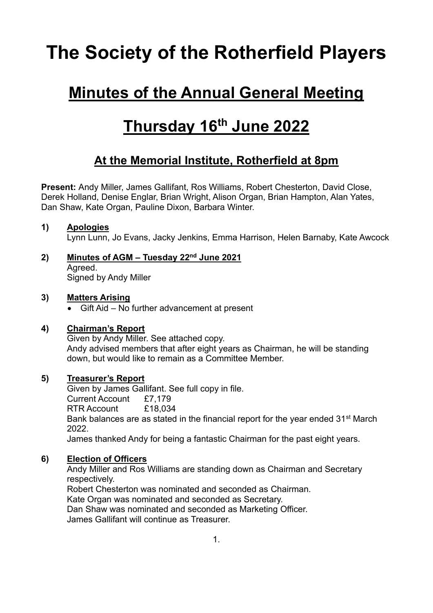# **The Society of the Rotherfield Players**

### **Minutes of the Annual General Meeting**

## **Thursday 16th June 2022**

### **At the Memorial Institute, Rotherfield at 8pm**

**Present:** Andy Miller, James Gallifant, Ros Williams, Robert Chesterton, David Close, Derek Holland, Denise Englar, Brian Wright, Alison Organ, Brian Hampton, Alan Yates, Dan Shaw, Kate Organ, Pauline Dixon, Barbara Winter.

#### **1) Apologies**

Lynn Lunn, Jo Evans, Jacky Jenkins, Emma Harrison, Helen Barnaby, Kate Awcock

**2) Minutes of AGM – Tuesday 22nd June 2021** Agreed. Signed by Andy Miller

#### **3) Matters Arising**

• Gift Aid – No further advancement at present

#### **4) Chairman's Report**

Given by Andy Miller. See attached copy. Andy advised members that after eight years as Chairman, he will be standing down, but would like to remain as a Committee Member.

#### **5) Treasurer's Report**

Given by James Gallifant. See full copy in file. Current Account £7,179 RTR Account £18,034 Bank balances are as stated in the financial report for the year ended 31<sup>st</sup> March 2022. James thanked Andy for being a fantastic Chairman for the past eight years.

#### **6) Election of Officers**

Andy Miller and Ros Williams are standing down as Chairman and Secretary respectively. Robert Chesterton was nominated and seconded as Chairman.

Kate Organ was nominated and seconded as Secretary.

Dan Shaw was nominated and seconded as Marketing Officer. James Gallifant will continue as Treasurer.